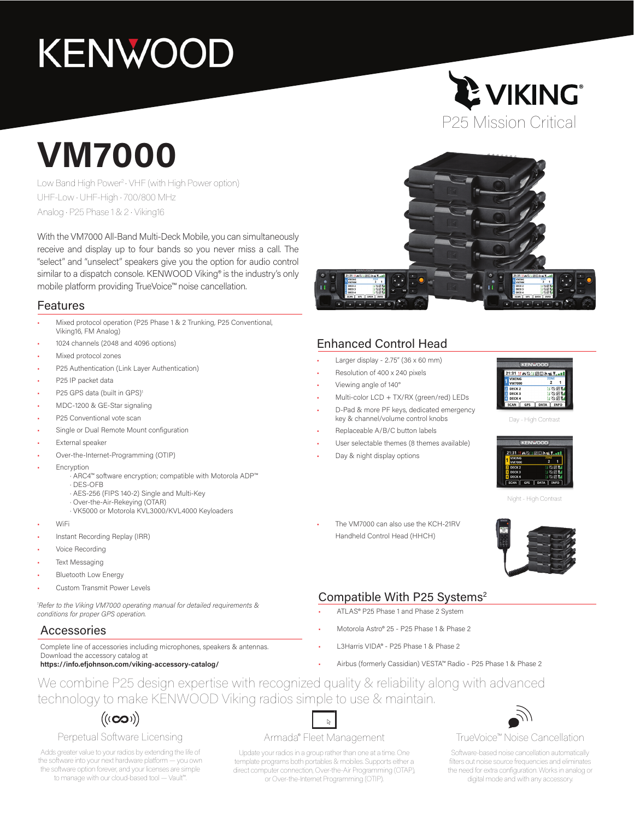# **KENWOOD**

# **VM7000**

Low Band High Power2 • VHF (with High Power option) UHF-Low • UHF-High • 700/800 MHz Analog • P25 Phase 1 & 2 • Viking16

With the VM7000 All-Band Multi-Deck Mobile, you can simultaneously receive and display up to four bands so you never miss a call. The "select" and "unselect" speakers give you the option for audio control similar to a dispatch console. KENWOOD Viking® is the industry's only mobile platform providing TrueVoice™ noise cancellation.

## Features

- Mixed protocol operation (P25 Phase 1 & 2 Trunking, P25 Conventional, Viking16, FM Analog)
- 1024 channels (2048 and 4096 options)
- Mixed protocol zones
- P25 Authentication (Link Layer Authentication)
- P25 IP packet data
- P25 GPS data (built in GPS)<sup>1</sup>
- MDC-1200 & GE-Star signaling
- P25 Conventional vote scan
- Single or Dual Remote Mount configuration
- External speaker
- Over-the-Internet-Programming (OTIP)
- **Encryption** 
	- · ARC4™ software encryption; compatible with Motorola ADP™
	- · DES-OFB
	- · AES-256 (FIPS 140-2) Single and Multi-Key
	- · Over-the-Air-Rekeying (OTAR)
	- · VK5000 or Motorola KVL3000/KVL4000 Keyloaders
- WiFi
- Instant Recording Replay (IRR)
- Voice Recording
- **Text Messaging**
- **Bluetooth Low Energy**
- Custom Transmit Power Levels

*1 Refer to the Viking VM7000 operating manual for detailed requirements & conditions for proper GPS operation.*

# Accessories

Complete line of accessories including microphones, speakers & antennas. Download the accessory catalog at **https://info.efjohnson.com/viking-accessory-catalog/**

# Enhanced Control Head

- Larger display 2.75" (36 x 60 mm)
- Resolution of 400 x 240 pixels
- Viewing angle of 140°
- Multi-color LCD + TX/RX (green/red) LEDs
- D-Pad & more PF keys, dedicated emergency key & channel/volume control knobs
- Replaceable A/B/C button labels
- User selectable themes (8 themes available)

The VM7000 can also use the KCH-21RV Handheld Control Head (HHCH)

Day & night display options



P25 Mission Critical

**LE VIKING®** 

Day - High Contrast



Night - High Contrast



# Compatible With P25 Systems<sup>2</sup>

- ATLAS® P25 Phase 1 and Phase 2 System
- Motorola Astro® 25 P25 Phase 1 & Phase 2
- L3Harris VIDA® P25 Phase 1 & Phase 2
- Airbus (formerly Cassidian) VESTA™ Radio P25 Phase 1 & Phase 2

We combine P25 design expertise with recognized quality & reliability along with advanced technology to make KENWOOD Viking radios simple to use & maintain.

# $((\mathbf{co}))$

## Perpetual Software Licensing

Adds greater value to your radios by extending the life of the software into your next hardware platform — you own the software option forever, and your licenses are simple to manage with our cloud-based tool — Vault™.

### Armada® Fleet Management

 $\mathbb{Z}$ 

Update your radios in a group rather than one at a time. One template programs both portables & mobiles. Supports either a direct computer connection, Over-the-Air Programming (OTAP), or Over-the-Internet Programming (OTIP).

TrueVoice™ Noise Cancellation

Software-based noise cancellation automatically filters out noise source frequencies and eliminates the need for extra configuration. Works in analog or digital mode and with any accessory.